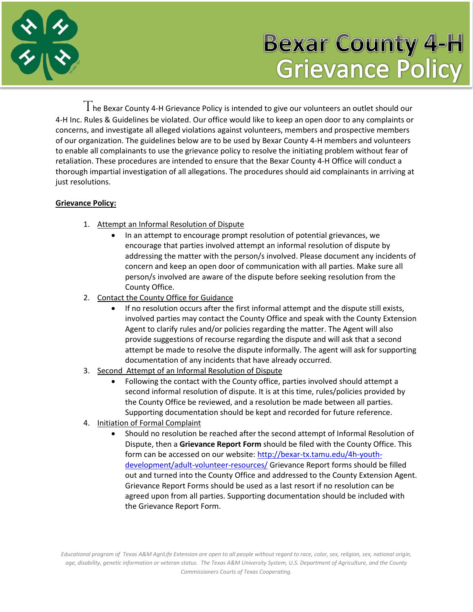

## **Bexar County 4-H Grievance Policy**

 $T$ he Bexar County 4-H Grievance Policy is intended to give our volunteers an outlet should our 4-H Inc. Rules & Guidelines be violated. Our office would like to keep an open door to any complaints or concerns, and investigate all alleged violations against volunteers, members and prospective members of our organization. The guidelines below are to be used by Bexar County 4-H members and volunteers to enable all complainants to use the grievance policy to resolve the initiating problem without fear of retaliation. These procedures are intended to ensure that the Bexar County 4-H Office will conduct a thorough impartial investigation of all allegations. The procedures should aid complainants in arriving at just resolutions.

## **Grievance Policy:**

- 1. Attempt an Informal Resolution of Dispute
	- In an attempt to encourage prompt resolution of potential grievances, we encourage that parties involved attempt an informal resolution of dispute by addressing the matter with the person/s involved. Please document any incidents of concern and keep an open door of communication with all parties. Make sure all person/s involved are aware of the dispute before seeking resolution from the County Office.
- 2. Contact the County Office for Guidance
	- If no resolution occurs after the first informal attempt and the dispute still exists, involved parties may contact the County Office and speak with the County Extension Agent to clarify rules and/or policies regarding the matter. The Agent will also provide suggestions of recourse regarding the dispute and will ask that a second attempt be made to resolve the dispute informally. The agent will ask for supporting documentation of any incidents that have already occurred.
- 3. Second Attempt of an Informal Resolution of Dispute
	- Following the contact with the County office, parties involved should attempt a second informal resolution of dispute. It is at this time, rules/policies provided by the County Office be reviewed, and a resolution be made between all parties. Supporting documentation should be kept and recorded for future reference.
- 4. Initiation of Formal Complaint
	- Should no resolution be reached after the second attempt of Informal Resolution of Dispute, then a **Grievance Report Form** should be filed with the County Office. This form can be accessed on our website: [http://bexar-tx.tamu.edu/4h-youth](http://bexar-tx.tamu.edu/4h-youth-development/adult-volunteer-resources/)[development/adult-volunteer-resources/](http://bexar-tx.tamu.edu/4h-youth-development/adult-volunteer-resources/) Grievance Report forms should be filled out and turned into the County Office and addressed to the County Extension Agent. Grievance Report Forms should be used as a last resort if no resolution can be agreed upon from all parties. Supporting documentation should be included with the Grievance Report Form.